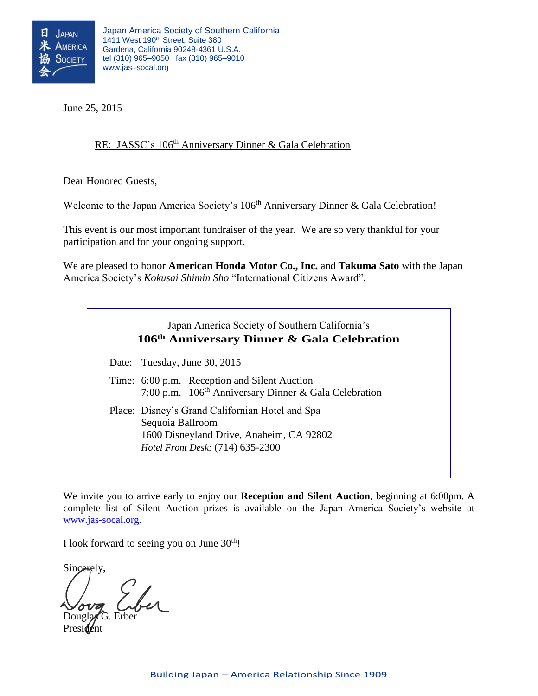

June 25, 2015

## RE: JASSC's 106<sup>th</sup> Anniversary Dinner & Gala Celebration

Dear Honored Guests,

Welcome to the Japan America Society's 106<sup>th</sup> Anniversary Dinner & Gala Celebration!

This event is our most important fundraiser of the year. We are so very thankful for your participation and for your ongoing support.

We are pleased to honor **American Honda Motor Co., Inc.** and **Takuma Sato** with the Japan America Society's *Kokusai Shimin Sho* "International Citizens Award".

> Japan America Society of Southern California's **106 th Anniversary Dinner & Gala Celebration**

Date: Tuesday, June 30, 2015

Time: 6:00 p.m. Reception and Silent Auction 7:00 p.m. 106<sup>th</sup> Anniversary Dinner & Gala Celebration

Place: Disney's Grand Californian Hotel and Spa Sequoia Ballroom 1600 Disneyland Drive, Anaheim, CA 92802 *Hotel Front Desk:* (714) 635-2300

*Please see attached map and directions*

We invite you to arrive early to enjoy our **Reception and Silent Auction**, beginning at 6:00pm. A complete list of Silent Auction prizes is available on the Japan America Society's website at [www.jas-socal.org.](http://www.jas-socal.org/)

I look forward to seeing you on June  $30<sup>th</sup>$ !

Sincerely,

Douglas G. Erber Presi**de**nt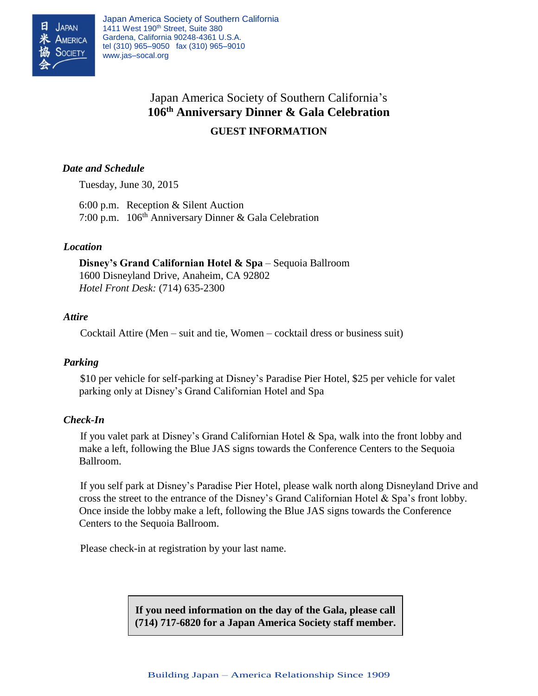

Japan America Society of Southern California 1411 West 190<sup>th</sup> Street, Suite 380 Gardena, California 90248-4361 U.S.A. tel (310) 965–9050 fax (310) 965–9010 www.jas–socal.org

# Japan America Society of Southern California's **106 th Anniversary Dinner & Gala Celebration GUEST INFORMATION**

## *Date and Schedule*

Tuesday, June 30, 2015

6:00 p.m. Reception & Silent Auction 7:00 p.m. 106<sup>th</sup> Anniversary Dinner & Gala Celebration

## *Location*

**Disney's Grand Californian Hotel & Spa** – Sequoia Ballroom 1600 Disneyland Drive, Anaheim, CA 92802 *Hotel Front Desk:* (714) 635-2300

#### *Attire*

Cocktail Attire (Men – suit and tie, Women – cocktail dress or business suit)

## *Parking*

\$10 per vehicle for self-parking at Disney's Paradise Pier Hotel, \$25 per vehicle for valet parking only at Disney's Grand Californian Hotel and Spa

#### *Check-In*

If you valet park at Disney's Grand Californian Hotel & Spa, walk into the front lobby and make a left, following the Blue JAS signs towards the Conference Centers to the Sequoia Ballroom.

If you self park at Disney's Paradise Pier Hotel, please walk north along Disneyland Drive and cross the street to the entrance of the Disney's Grand Californian Hotel & Spa's front lobby. Once inside the lobby make a left, following the Blue JAS signs towards the Conference Centers to the Sequoia Ballroom.

Please check-in at registration by your last name.

**If you need information on the day of the Gala, please call (714) 717-6820 for a Japan America Society staff member.**